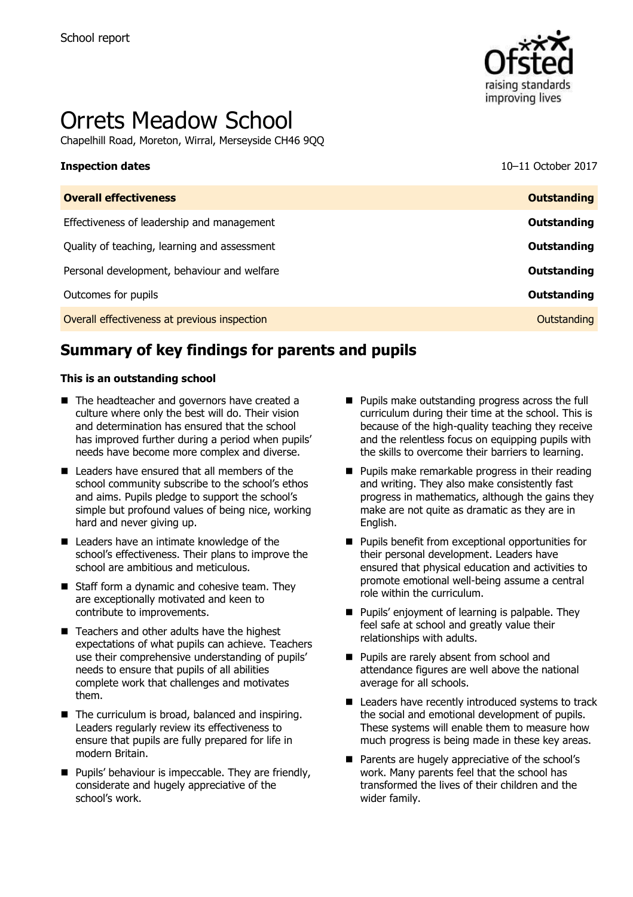

# Orrets Meadow School

Chapelhill Road, Moreton, Wirral, Merseyside CH46 9QQ

# **Inspection dates** 10–11 October 2017

| <b>Overall effectiveness</b>                 | <b>Outstanding</b> |
|----------------------------------------------|--------------------|
| Effectiveness of leadership and management   | <b>Outstanding</b> |
| Quality of teaching, learning and assessment | <b>Outstanding</b> |
| Personal development, behaviour and welfare  | <b>Outstanding</b> |
| Outcomes for pupils                          | <b>Outstanding</b> |
| Overall effectiveness at previous inspection | Outstanding        |

# **Summary of key findings for parents and pupils**

### **This is an outstanding school**

- The headteacher and governors have created a culture where only the best will do. Their vision and determination has ensured that the school has improved further during a period when pupils' needs have become more complex and diverse.
- Leaders have ensured that all members of the school community subscribe to the school's ethos and aims. Pupils pledge to support the school's simple but profound values of being nice, working hard and never giving up.
- Leaders have an intimate knowledge of the school's effectiveness. Their plans to improve the school are ambitious and meticulous.
- Staff form a dynamic and cohesive team. They are exceptionally motivated and keen to contribute to improvements.
- $\blacksquare$  Teachers and other adults have the highest expectations of what pupils can achieve. Teachers use their comprehensive understanding of pupils' needs to ensure that pupils of all abilities complete work that challenges and motivates them.
- The curriculum is broad, balanced and inspiring. Leaders regularly review its effectiveness to ensure that pupils are fully prepared for life in modern Britain.
- **Pupils' behaviour is impeccable. They are friendly,** considerate and hugely appreciative of the school's work.
- **Pupils make outstanding progress across the full** curriculum during their time at the school. This is because of the high-quality teaching they receive and the relentless focus on equipping pupils with the skills to overcome their barriers to learning.
- **Pupils make remarkable progress in their reading** and writing. They also make consistently fast progress in mathematics, although the gains they make are not quite as dramatic as they are in English.
- **Pupils benefit from exceptional opportunities for** their personal development. Leaders have ensured that physical education and activities to promote emotional well-being assume a central role within the curriculum.
- Pupils' enjoyment of learning is palpable. They feel safe at school and greatly value their relationships with adults.
- **Pupils are rarely absent from school and** attendance figures are well above the national average for all schools.
- Leaders have recently introduced systems to track the social and emotional development of pupils. These systems will enable them to measure how much progress is being made in these key areas.
- **Parents are hugely appreciative of the school's** work. Many parents feel that the school has transformed the lives of their children and the wider family.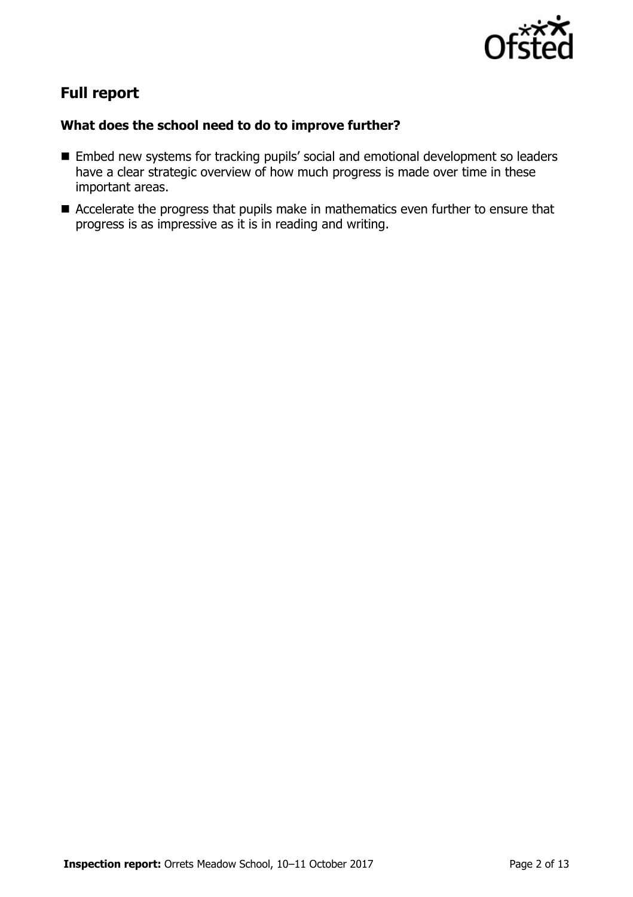

# **Full report**

### **What does the school need to do to improve further?**

- Embed new systems for tracking pupils' social and emotional development so leaders have a clear strategic overview of how much progress is made over time in these important areas.
- Accelerate the progress that pupils make in mathematics even further to ensure that progress is as impressive as it is in reading and writing.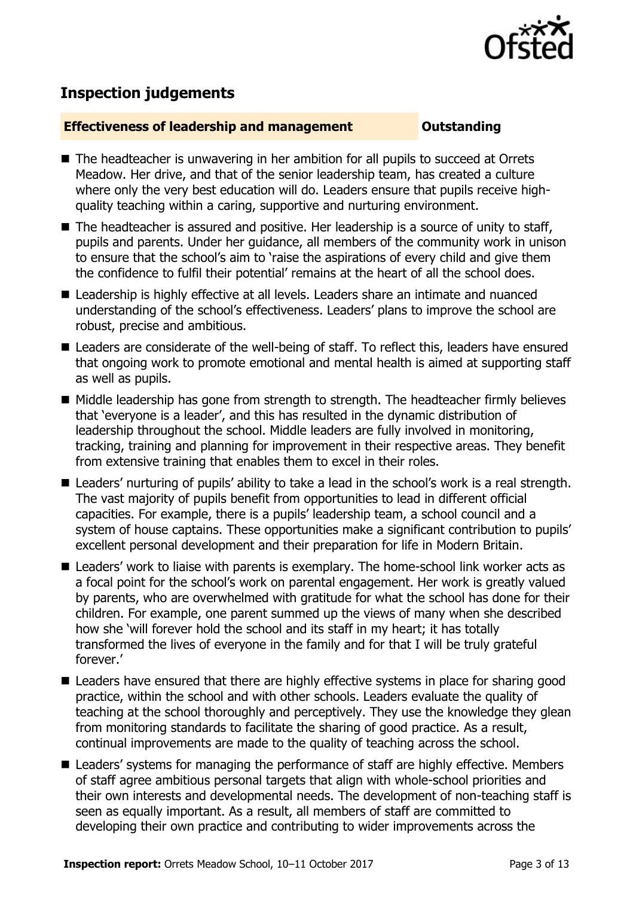

# **Inspection judgements**

### **Effectiveness of leadership and management Constanding**

- The headteacher is unwavering in her ambition for all pupils to succeed at Orrets Meadow. Her drive, and that of the senior leadership team, has created a culture where only the very best education will do. Leaders ensure that pupils receive highquality teaching within a caring, supportive and nurturing environment.
- The headteacher is assured and positive. Her leadership is a source of unity to staff, pupils and parents. Under her guidance, all members of the community work in unison to ensure that the school's aim to 'raise the aspirations of every child and give them the confidence to fulfil their potential' remains at the heart of all the school does.
- Leadership is highly effective at all levels. Leaders share an intimate and nuanced understanding of the school's effectiveness. Leaders' plans to improve the school are robust, precise and ambitious.
- Leaders are considerate of the well-being of staff. To reflect this, leaders have ensured that ongoing work to promote emotional and mental health is aimed at supporting staff as well as pupils.
- Middle leadership has gone from strength to strength. The headteacher firmly believes that 'everyone is a leader', and this has resulted in the dynamic distribution of leadership throughout the school. Middle leaders are fully involved in monitoring, tracking, training and planning for improvement in their respective areas. They benefit from extensive training that enables them to excel in their roles.
- Leaders' nurturing of pupils' ability to take a lead in the school's work is a real strength. The vast majority of pupils benefit from opportunities to lead in different official capacities. For example, there is a pupils' leadership team, a school council and a system of house captains. These opportunities make a significant contribution to pupils' excellent personal development and their preparation for life in Modern Britain.
- Leaders' work to liaise with parents is exemplary. The home-school link worker acts as a focal point for the school's work on parental engagement. Her work is greatly valued by parents, who are overwhelmed with gratitude for what the school has done for their children. For example, one parent summed up the views of many when she described how she 'will forever hold the school and its staff in my heart; it has totally transformed the lives of everyone in the family and for that I will be truly grateful forever.'
- Leaders have ensured that there are highly effective systems in place for sharing good practice, within the school and with other schools. Leaders evaluate the quality of teaching at the school thoroughly and perceptively. They use the knowledge they glean from monitoring standards to facilitate the sharing of good practice. As a result, continual improvements are made to the quality of teaching across the school.
- Leaders' systems for managing the performance of staff are highly effective. Members of staff agree ambitious personal targets that align with whole-school priorities and their own interests and developmental needs. The development of non-teaching staff is seen as equally important. As a result, all members of staff are committed to developing their own practice and contributing to wider improvements across the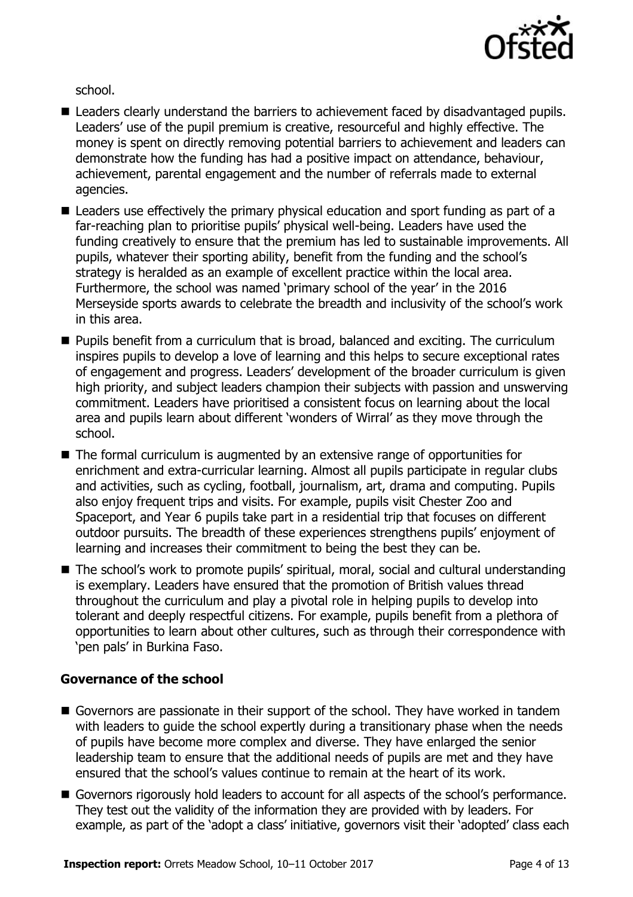

school.

- Leaders clearly understand the barriers to achievement faced by disadvantaged pupils. Leaders' use of the pupil premium is creative, resourceful and highly effective. The money is spent on directly removing potential barriers to achievement and leaders can demonstrate how the funding has had a positive impact on attendance, behaviour, achievement, parental engagement and the number of referrals made to external agencies.
- Leaders use effectively the primary physical education and sport funding as part of a far-reaching plan to prioritise pupils' physical well-being. Leaders have used the funding creatively to ensure that the premium has led to sustainable improvements. All pupils, whatever their sporting ability, benefit from the funding and the school's strategy is heralded as an example of excellent practice within the local area. Furthermore, the school was named 'primary school of the year' in the 2016 Merseyside sports awards to celebrate the breadth and inclusivity of the school's work in this area.
- **Pupils benefit from a curriculum that is broad, balanced and exciting. The curriculum** inspires pupils to develop a love of learning and this helps to secure exceptional rates of engagement and progress. Leaders' development of the broader curriculum is given high priority, and subject leaders champion their subjects with passion and unswerving commitment. Leaders have prioritised a consistent focus on learning about the local area and pupils learn about different 'wonders of Wirral' as they move through the school.
- The formal curriculum is augmented by an extensive range of opportunities for enrichment and extra-curricular learning. Almost all pupils participate in regular clubs and activities, such as cycling, football, journalism, art, drama and computing. Pupils also enjoy frequent trips and visits. For example, pupils visit Chester Zoo and Spaceport, and Year 6 pupils take part in a residential trip that focuses on different outdoor pursuits. The breadth of these experiences strengthens pupils' enjoyment of learning and increases their commitment to being the best they can be.
- The school's work to promote pupils' spiritual, moral, social and cultural understanding is exemplary. Leaders have ensured that the promotion of British values thread throughout the curriculum and play a pivotal role in helping pupils to develop into tolerant and deeply respectful citizens. For example, pupils benefit from a plethora of opportunities to learn about other cultures, such as through their correspondence with 'pen pals' in Burkina Faso.

### **Governance of the school**

- Governors are passionate in their support of the school. They have worked in tandem with leaders to guide the school expertly during a transitionary phase when the needs of pupils have become more complex and diverse. They have enlarged the senior leadership team to ensure that the additional needs of pupils are met and they have ensured that the school's values continue to remain at the heart of its work.
- Governors rigorously hold leaders to account for all aspects of the school's performance. They test out the validity of the information they are provided with by leaders. For example, as part of the 'adopt a class' initiative, governors visit their 'adopted' class each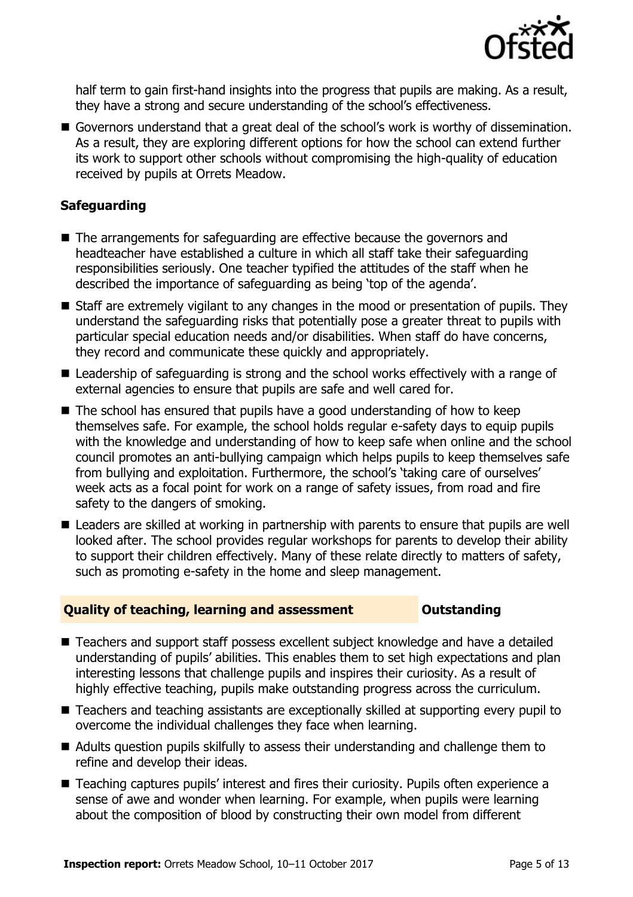

half term to gain first-hand insights into the progress that pupils are making. As a result, they have a strong and secure understanding of the school's effectiveness.

Governors understand that a great deal of the school's work is worthy of dissemination. As a result, they are exploring different options for how the school can extend further its work to support other schools without compromising the high-quality of education received by pupils at Orrets Meadow.

### **Safeguarding**

- The arrangements for safeguarding are effective because the governors and headteacher have established a culture in which all staff take their safeguarding responsibilities seriously. One teacher typified the attitudes of the staff when he described the importance of safeguarding as being 'top of the agenda'.
- Staff are extremely vigilant to any changes in the mood or presentation of pupils. They understand the safeguarding risks that potentially pose a greater threat to pupils with particular special education needs and/or disabilities. When staff do have concerns, they record and communicate these quickly and appropriately.
- Leadership of safeguarding is strong and the school works effectively with a range of external agencies to ensure that pupils are safe and well cared for.
- $\blacksquare$  The school has ensured that pupils have a good understanding of how to keep themselves safe. For example, the school holds regular e-safety days to equip pupils with the knowledge and understanding of how to keep safe when online and the school council promotes an anti-bullying campaign which helps pupils to keep themselves safe from bullying and exploitation. Furthermore, the school's 'taking care of ourselves' week acts as a focal point for work on a range of safety issues, from road and fire safety to the dangers of smoking.
- Leaders are skilled at working in partnership with parents to ensure that pupils are well looked after. The school provides regular workshops for parents to develop their ability to support their children effectively. Many of these relate directly to matters of safety, such as promoting e-safety in the home and sleep management.

### **Quality of teaching, learning and assessment Outstanding**

- Teachers and support staff possess excellent subject knowledge and have a detailed understanding of pupils' abilities. This enables them to set high expectations and plan interesting lessons that challenge pupils and inspires their curiosity. As a result of highly effective teaching, pupils make outstanding progress across the curriculum.
- Teachers and teaching assistants are exceptionally skilled at supporting every pupil to overcome the individual challenges they face when learning.
- Adults question pupils skilfully to assess their understanding and challenge them to refine and develop their ideas.
- Teaching captures pupils' interest and fires their curiosity. Pupils often experience a sense of awe and wonder when learning. For example, when pupils were learning about the composition of blood by constructing their own model from different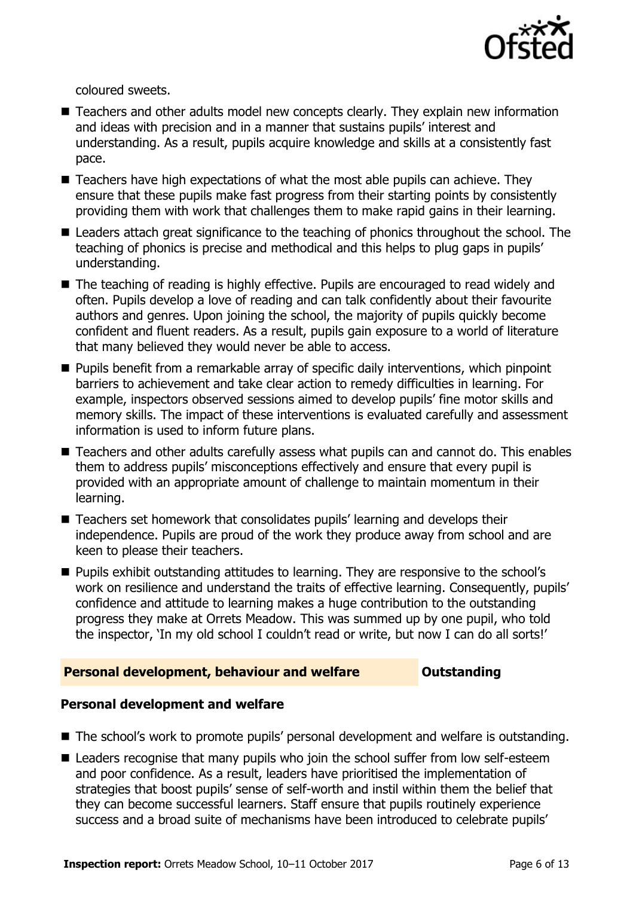

coloured sweets.

- Teachers and other adults model new concepts clearly. They explain new information and ideas with precision and in a manner that sustains pupils' interest and understanding. As a result, pupils acquire knowledge and skills at a consistently fast pace.
- Teachers have high expectations of what the most able pupils can achieve. They ensure that these pupils make fast progress from their starting points by consistently providing them with work that challenges them to make rapid gains in their learning.
- Leaders attach great significance to the teaching of phonics throughout the school. The teaching of phonics is precise and methodical and this helps to plug gaps in pupils' understanding.
- The teaching of reading is highly effective. Pupils are encouraged to read widely and often. Pupils develop a love of reading and can talk confidently about their favourite authors and genres. Upon joining the school, the majority of pupils quickly become confident and fluent readers. As a result, pupils gain exposure to a world of literature that many believed they would never be able to access.
- **Pupils benefit from a remarkable array of specific daily interventions, which pinpoint** barriers to achievement and take clear action to remedy difficulties in learning. For example, inspectors observed sessions aimed to develop pupils' fine motor skills and memory skills. The impact of these interventions is evaluated carefully and assessment information is used to inform future plans.
- Teachers and other adults carefully assess what pupils can and cannot do. This enables them to address pupils' misconceptions effectively and ensure that every pupil is provided with an appropriate amount of challenge to maintain momentum in their learning.
- Teachers set homework that consolidates pupils' learning and develops their independence. Pupils are proud of the work they produce away from school and are keen to please their teachers.
- **Pupils exhibit outstanding attitudes to learning. They are responsive to the school's** work on resilience and understand the traits of effective learning. Consequently, pupils' confidence and attitude to learning makes a huge contribution to the outstanding progress they make at Orrets Meadow. This was summed up by one pupil, who told the inspector, 'In my old school I couldn't read or write, but now I can do all sorts!'

### **Personal development, behaviour and welfare <b>COUTS** Outstanding

### **Personal development and welfare**

- The school's work to promote pupils' personal development and welfare is outstanding.
- Leaders recognise that many pupils who join the school suffer from low self-esteem and poor confidence. As a result, leaders have prioritised the implementation of strategies that boost pupils' sense of self-worth and instil within them the belief that they can become successful learners. Staff ensure that pupils routinely experience success and a broad suite of mechanisms have been introduced to celebrate pupils'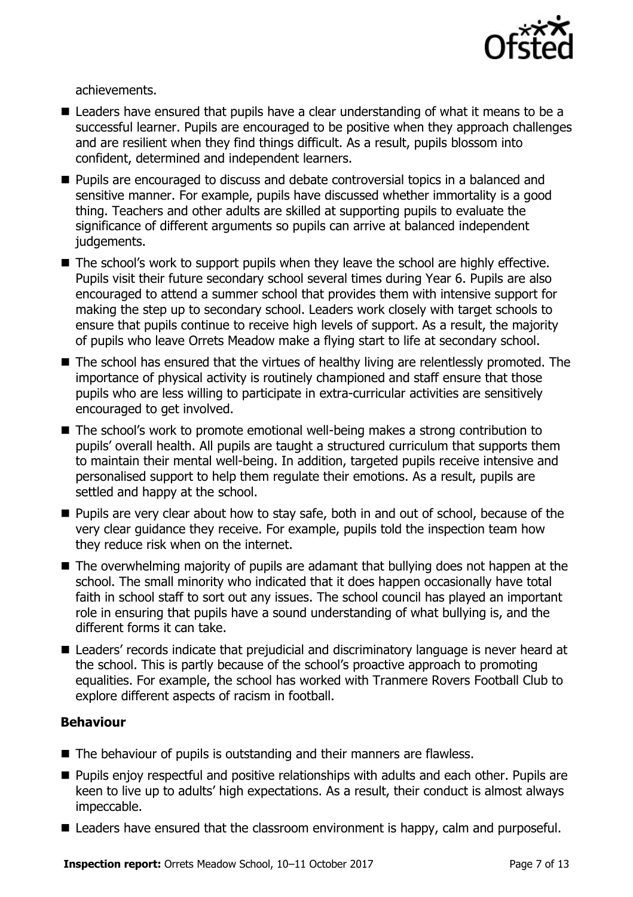

achievements.

- Leaders have ensured that pupils have a clear understanding of what it means to be a successful learner. Pupils are encouraged to be positive when they approach challenges and are resilient when they find things difficult. As a result, pupils blossom into confident, determined and independent learners.
- **Pupils are encouraged to discuss and debate controversial topics in a balanced and** sensitive manner. For example, pupils have discussed whether immortality is a good thing. Teachers and other adults are skilled at supporting pupils to evaluate the significance of different arguments so pupils can arrive at balanced independent judgements.
- The school's work to support pupils when they leave the school are highly effective. Pupils visit their future secondary school several times during Year 6. Pupils are also encouraged to attend a summer school that provides them with intensive support for making the step up to secondary school. Leaders work closely with target schools to ensure that pupils continue to receive high levels of support. As a result, the majority of pupils who leave Orrets Meadow make a flying start to life at secondary school.
- The school has ensured that the virtues of healthy living are relentlessly promoted. The importance of physical activity is routinely championed and staff ensure that those pupils who are less willing to participate in extra-curricular activities are sensitively encouraged to get involved.
- The school's work to promote emotional well-being makes a strong contribution to pupils' overall health. All pupils are taught a structured curriculum that supports them to maintain their mental well-being. In addition, targeted pupils receive intensive and personalised support to help them regulate their emotions. As a result, pupils are settled and happy at the school.
- **Pupils are very clear about how to stay safe, both in and out of school, because of the** very clear guidance they receive. For example, pupils told the inspection team how they reduce risk when on the internet.
- The overwhelming majority of pupils are adamant that bullying does not happen at the school. The small minority who indicated that it does happen occasionally have total faith in school staff to sort out any issues. The school council has played an important role in ensuring that pupils have a sound understanding of what bullying is, and the different forms it can take.
- Leaders' records indicate that prejudicial and discriminatory language is never heard at the school. This is partly because of the school's proactive approach to promoting equalities. For example, the school has worked with Tranmere Rovers Football Club to explore different aspects of racism in football.

### **Behaviour**

- The behaviour of pupils is outstanding and their manners are flawless.
- **Pupils enjoy respectful and positive relationships with adults and each other. Pupils are** keen to live up to adults' high expectations. As a result, their conduct is almost always impeccable.
- Leaders have ensured that the classroom environment is happy, calm and purposeful.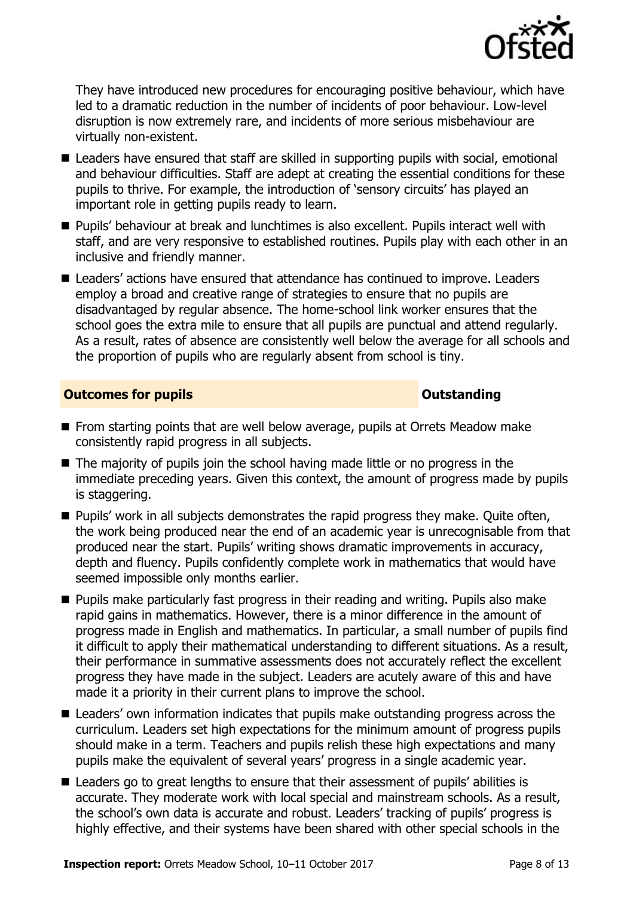

They have introduced new procedures for encouraging positive behaviour, which have led to a dramatic reduction in the number of incidents of poor behaviour. Low-level disruption is now extremely rare, and incidents of more serious misbehaviour are virtually non-existent.

- Leaders have ensured that staff are skilled in supporting pupils with social, emotional and behaviour difficulties. Staff are adept at creating the essential conditions for these pupils to thrive. For example, the introduction of 'sensory circuits' has played an important role in getting pupils ready to learn.
- **Pupils' behaviour at break and lunchtimes is also excellent. Pupils interact well with** staff, and are very responsive to established routines. Pupils play with each other in an inclusive and friendly manner.
- Leaders' actions have ensured that attendance has continued to improve. Leaders employ a broad and creative range of strategies to ensure that no pupils are disadvantaged by regular absence. The home-school link worker ensures that the school goes the extra mile to ensure that all pupils are punctual and attend regularly. As a result, rates of absence are consistently well below the average for all schools and the proportion of pupils who are regularly absent from school is tiny.

### **Outcomes for pupils Outstanding**

- From starting points that are well below average, pupils at Orrets Meadow make consistently rapid progress in all subjects.
- $\blacksquare$  The majority of pupils join the school having made little or no progress in the immediate preceding years. Given this context, the amount of progress made by pupils is staggering.
- **Pupils' work in all subjects demonstrates the rapid progress they make. Quite often,** the work being produced near the end of an academic year is unrecognisable from that produced near the start. Pupils' writing shows dramatic improvements in accuracy, depth and fluency. Pupils confidently complete work in mathematics that would have seemed impossible only months earlier.
- **Pupils make particularly fast progress in their reading and writing. Pupils also make** rapid gains in mathematics. However, there is a minor difference in the amount of progress made in English and mathematics. In particular, a small number of pupils find it difficult to apply their mathematical understanding to different situations. As a result, their performance in summative assessments does not accurately reflect the excellent progress they have made in the subject. Leaders are acutely aware of this and have made it a priority in their current plans to improve the school.
- Leaders' own information indicates that pupils make outstanding progress across the curriculum. Leaders set high expectations for the minimum amount of progress pupils should make in a term. Teachers and pupils relish these high expectations and many pupils make the equivalent of several years' progress in a single academic year.
- Leaders go to great lengths to ensure that their assessment of pupils' abilities is accurate. They moderate work with local special and mainstream schools. As a result, the school's own data is accurate and robust. Leaders' tracking of pupils' progress is highly effective, and their systems have been shared with other special schools in the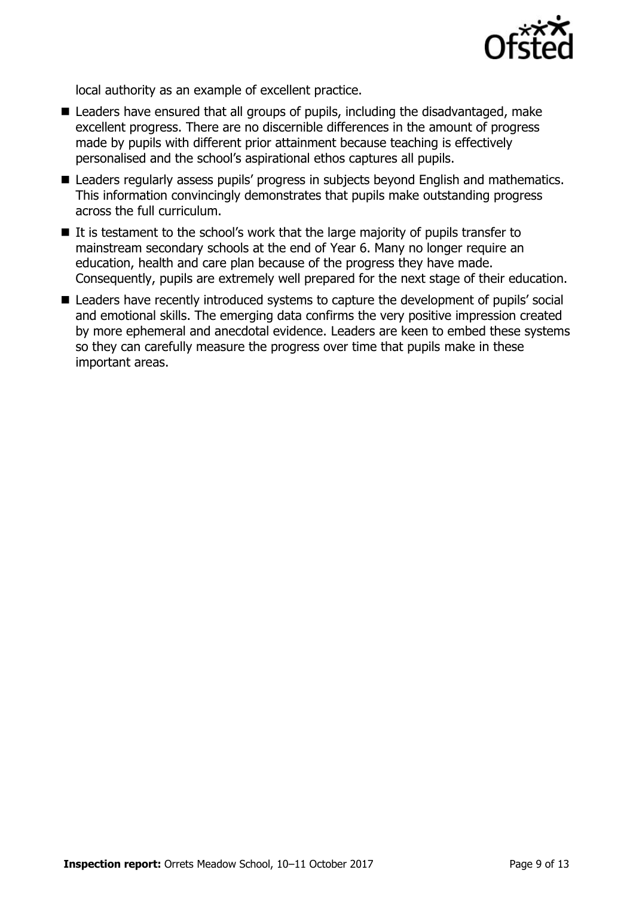

local authority as an example of excellent practice.

- Leaders have ensured that all groups of pupils, including the disadvantaged, make excellent progress. There are no discernible differences in the amount of progress made by pupils with different prior attainment because teaching is effectively personalised and the school's aspirational ethos captures all pupils.
- Leaders regularly assess pupils' progress in subjects beyond English and mathematics. This information convincingly demonstrates that pupils make outstanding progress across the full curriculum.
- $\blacksquare$  It is testament to the school's work that the large majority of pupils transfer to mainstream secondary schools at the end of Year 6. Many no longer require an education, health and care plan because of the progress they have made. Consequently, pupils are extremely well prepared for the next stage of their education.
- Leaders have recently introduced systems to capture the development of pupils' social and emotional skills. The emerging data confirms the very positive impression created by more ephemeral and anecdotal evidence. Leaders are keen to embed these systems so they can carefully measure the progress over time that pupils make in these important areas.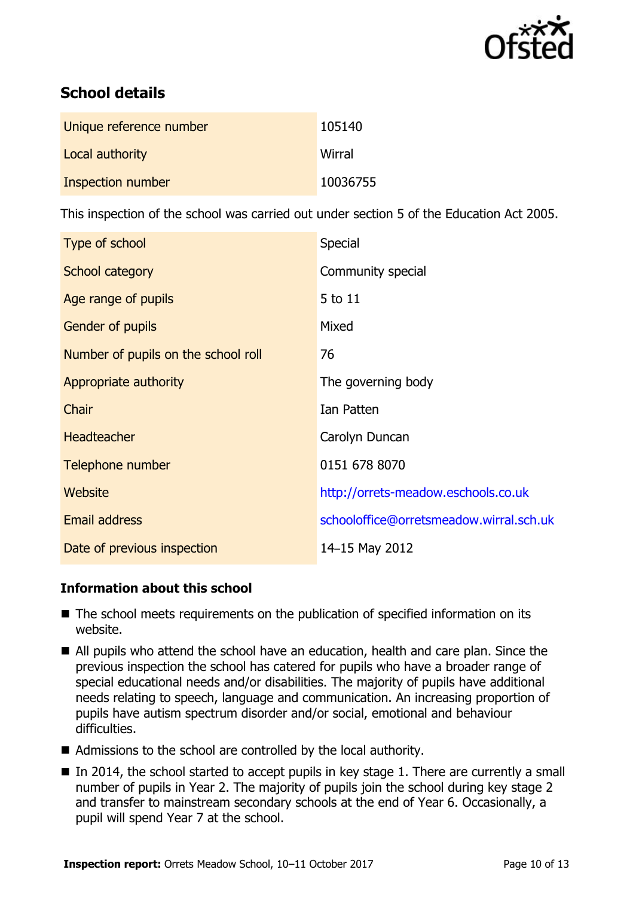

# **School details**

| Unique reference number | 105140   |
|-------------------------|----------|
| Local authority         | Wirral   |
| Inspection number       | 10036755 |

This inspection of the school was carried out under section 5 of the Education Act 2005.

| Type of school                      | <b>Special</b>                          |
|-------------------------------------|-----------------------------------------|
| School category                     | Community special                       |
| Age range of pupils                 | 5 to 11                                 |
| <b>Gender of pupils</b>             | Mixed                                   |
| Number of pupils on the school roll | 76                                      |
| Appropriate authority               | The governing body                      |
| Chair                               | Ian Patten                              |
| <b>Headteacher</b>                  | Carolyn Duncan                          |
| Telephone number                    | 0151 678 8070                           |
| Website                             | http://orrets-meadow.eschools.co.uk     |
| Email address                       | schooloffice@orretsmeadow.wirral.sch.uk |
| Date of previous inspection         | 14-15 May 2012                          |

### **Information about this school**

- The school meets requirements on the publication of specified information on its website.
- All pupils who attend the school have an education, health and care plan. Since the previous inspection the school has catered for pupils who have a broader range of special educational needs and/or disabilities. The majority of pupils have additional needs relating to speech, language and communication. An increasing proportion of pupils have autism spectrum disorder and/or social, emotional and behaviour difficulties.
- Admissions to the school are controlled by the local authority.
- $\blacksquare$  In 2014, the school started to accept pupils in key stage 1. There are currently a small number of pupils in Year 2. The majority of pupils join the school during key stage 2 and transfer to mainstream secondary schools at the end of Year 6. Occasionally, a pupil will spend Year 7 at the school.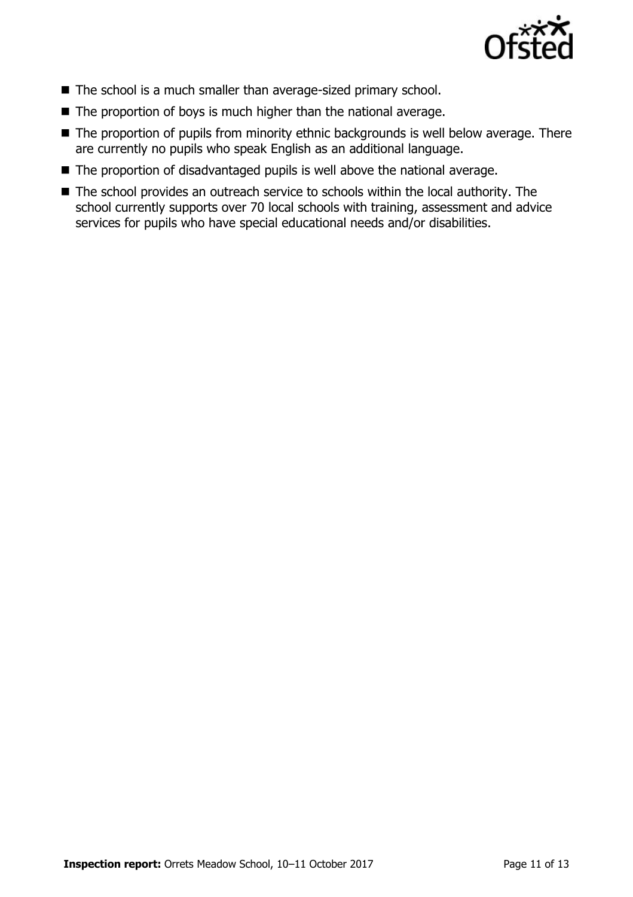

- The school is a much smaller than average-sized primary school.
- $\blacksquare$  The proportion of boys is much higher than the national average.
- The proportion of pupils from minority ethnic backgrounds is well below average. There are currently no pupils who speak English as an additional language.
- The proportion of disadvantaged pupils is well above the national average.
- The school provides an outreach service to schools within the local authority. The school currently supports over 70 local schools with training, assessment and advice services for pupils who have special educational needs and/or disabilities.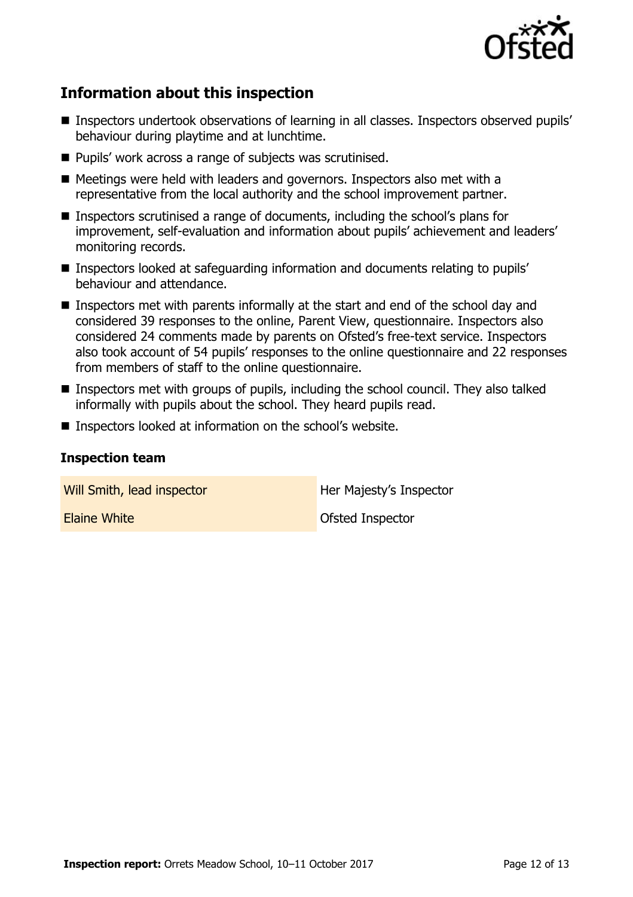

# **Information about this inspection**

- Inspectors undertook observations of learning in all classes. Inspectors observed pupils' behaviour during playtime and at lunchtime.
- Pupils' work across a range of subjects was scrutinised.
- Meetings were held with leaders and governors. Inspectors also met with a representative from the local authority and the school improvement partner.
- Inspectors scrutinised a range of documents, including the school's plans for improvement, self-evaluation and information about pupils' achievement and leaders' monitoring records.
- Inspectors looked at safeguarding information and documents relating to pupils' behaviour and attendance.
- Inspectors met with parents informally at the start and end of the school day and considered 39 responses to the online, Parent View, questionnaire. Inspectors also considered 24 comments made by parents on Ofsted's free-text service. Inspectors also took account of 54 pupils' responses to the online questionnaire and 22 responses from members of staff to the online questionnaire.
- **Inspectors met with groups of pupils, including the school council. They also talked** informally with pupils about the school. They heard pupils read.
- Inspectors looked at information on the school's website.

### **Inspection team**

Will Smith, lead inspector **Her Majesty's Inspector** 

**Elaine White Contract Contract Inspector** Contract Contract Ofsted Inspector